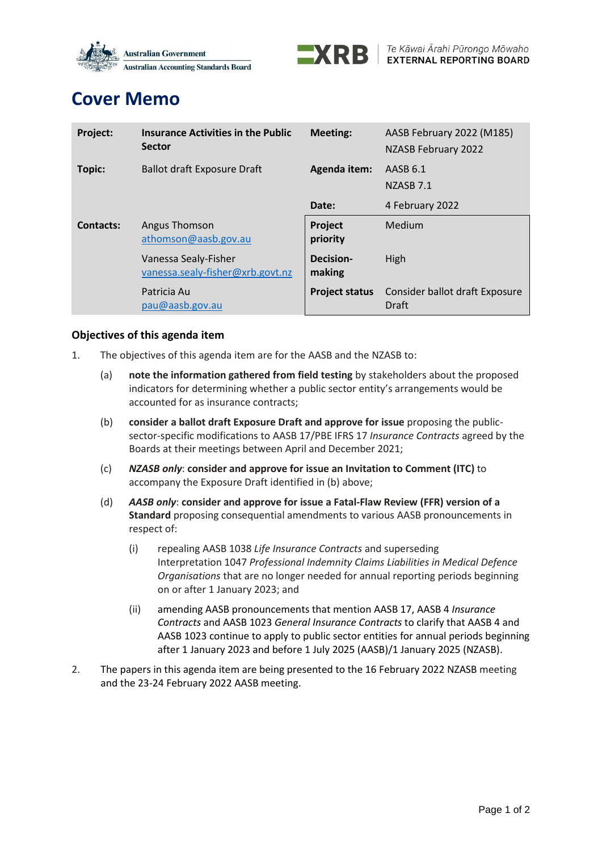



# **Cover Memo**

| Project:         | <b>Insurance Activities in the Public</b><br><b>Sector</b> | <b>Meeting:</b>       | AASB February 2022 (M185)<br>NZASB February 2022 |
|------------------|------------------------------------------------------------|-----------------------|--------------------------------------------------|
| Topic:           | <b>Ballot draft Exposure Draft</b>                         | <b>Agenda item:</b>   | AASB 6.1<br>NZASB <sub>7.1</sub>                 |
|                  |                                                            | Date:                 | 4 February 2022                                  |
| <b>Contacts:</b> | Angus Thomson<br>athomson@aasb.gov.au                      | Project<br>priority   | Medium                                           |
|                  | Vanessa Sealy-Fisher<br>vanessa.sealy-fisher@xrb.govt.nz   | Decision-<br>making   | High                                             |
|                  | Patricia Au<br>pau@aasb.gov.au                             | <b>Project status</b> | Consider ballot draft Exposure<br>Draft          |

## **Objectives of this agenda item**

- 1. The objectives of this agenda item are for the AASB and the NZASB to:
	- (a) **note the information gathered from field testing** by stakeholders about the proposed indicators for determining whether a public sector entity's arrangements would be accounted for as insurance contracts;
	- (b) **consider a ballot draft Exposure Draft and approve for issue** proposing the publicsector-specific modifications to AASB 17/PBE IFRS 17 *Insurance Contracts* agreed by the Boards at their meetings between April and December 2021;
	- (c) *NZASB only*: **consider and approve for issue an Invitation to Comment (ITC)** to accompany the Exposure Draft identified in (b) above;
	- (d) *AASB only*: **consider and approve for issue a Fatal-Flaw Review (FFR) version of a Standard** proposing consequential amendments to various AASB pronouncements in respect of:
		- (i) repealing AASB 1038 *Life Insurance Contracts* and superseding Interpretation 1047 *Professional Indemnity Claims Liabilities in Medical Defence Organisations* that are no longer needed for annual reporting periods beginning on or after 1 January 2023; and
		- (ii) amending AASB pronouncements that mention AASB 17, AASB 4 *Insurance Contracts* and AASB 1023 *General Insurance Contracts* to clarify that AASB 4 and AASB 1023 continue to apply to public sector entities for annual periods beginning after 1 January 2023 and before 1 July 2025 (AASB)/1 January 2025 (NZASB).
- 2. The papers in this agenda item are being presented to the 16 February 2022 NZASB meeting and the 23-24 February 2022 AASB meeting.